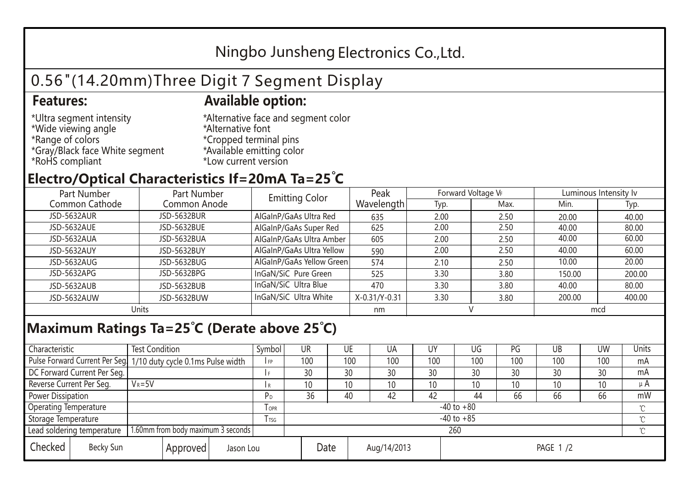## Ningbo Junsheng Electronics Co.,Ltd.

# 0.56"(14.20mm)Three Digit 7 Segment Display

### **Features: Available option:**

- \*Ultra segment intensity \*Wide viewing angle \*Range of colors \*Gray/Black face White segment \*RoHS compliant
- \*Alternative face and segment color \*Alternative font \*Cropped terminal pins \*Available emitting color \*Low current version

### **Electro/Optical Characteristics If=20mA Ta=25 C**

| Part Number        | Part Number  | <b>Emitting Color</b>     | Peak          | Forward Voltage VF |      | Luminous Intensity Iv |        |  |
|--------------------|--------------|---------------------------|---------------|--------------------|------|-----------------------|--------|--|
| Common Cathode     | Common Anode |                           | Wavelength    | Typ.               | Max. | Min.                  | Typ.   |  |
| <b>JSD-5632AUR</b> | JSD-5632BUR  | AlGaInP/GaAs Ultra Red    | 635           | 2.00               | 2.50 | 20.00                 | 40.00  |  |
| JSD-5632AUE        | JSD-5632BUE  | AlGaInP/GaAs Super Red    | 625           | 2.00               | 2.50 | 40.00                 | 80.00  |  |
| JSD-5632AUA        | JSD-5632BUA  | AlGaInP/GaAs Ultra Amber  | 605           | 2.00               | 2.50 | 40.00                 | 60.00  |  |
| JSD-5632AUY        | JSD-5632BUY  | AlGaInP/GaAs Ultra Yellow | 590           | 2.00               | 2.50 | 40.00                 | 60.00  |  |
| JSD-5632AUG        | JSD-5632BUG  | AlGaInP/GaAs Yellow Green | 574           | 2.10               | 2.50 | 10.00                 | 20.00  |  |
| JSD-5632APG        | JSD-5632BPG  | InGaN/SiC Pure Green      | 525           | 3.30               | 3.80 | 150.00                | 200.00 |  |
| JSD-5632AUB        | JSD-5632BUB  | InGaN/SiC Ultra Blue      | 470           | 3.30               | 3.80 | 40.00                 | 80.00  |  |
| JSD-5632AUW        | JSD-5632BUW  | InGaN/SiC Ultra White     | X-0.31/Y-0.31 | 3.30               | 3.80 | 200.00                | 400.00 |  |
| Units              |              |                           | nm            |                    |      | mcd                   |        |  |

### **Maximum Ratings Ta=25°C (Derate above 25°C)**

| Characteristic                                |            | <b>Test Condition</b><br>Symbol                                 |                     |                | UR              |    | UE       | UA  | UY  | UG  | PG  | UB     | <b>UW</b> | Units |
|-----------------------------------------------|------------|-----------------------------------------------------------------|---------------------|----------------|-----------------|----|----------|-----|-----|-----|-----|--------|-----------|-------|
|                                               |            | Pulse Forward Current Per Seg 1/10 duty cycle 0.1ms Pulse width |                     |                | 100             |    | 100      | 100 | 100 | 100 | 100 | 100    | 100       | mA    |
| DC Forward Current Per Seg.                   |            |                                                                 |                     |                | 30              | 30 |          | 30  | 30  | 30  | 30  | 30     | 30        | mA    |
| Reverse Current Per Seg.                      | $V_R = 5V$ |                                                                 |                     | I R            | 10 <sup>°</sup> |    | 10       | 10  | 10  | 10  | 10  | 10     | 10        | μA    |
| <b>Power Dissipation</b>                      |            |                                                                 |                     |                | 36              | 40 |          | 42  | 42  | 44  | 66  | 66     | 66        | mW    |
| <b>Operating Temperature</b>                  |            |                                                                 | $I$ OPR             | $-40$ to $+80$ |                 |    |          |     |     |     |     |        |           |       |
| Storage Temperature                           |            | I TSG                                                           | $-40$ to $+85$      |                |                 |    |          |     |     |     |     | $\sim$ |           |       |
| Lead soldering temperature                    |            | 1.60mm from body maximum 3 seconds                              |                     |                | 260             |    |          |     |     |     |     |        |           |       |
| Checked<br>Becky Sun<br>Approved<br>Jason Lou |            |                                                                 | Date<br>Aug/14/2013 |                |                 |    | PAGE 1/2 |     |     |     |     |        |           |       |